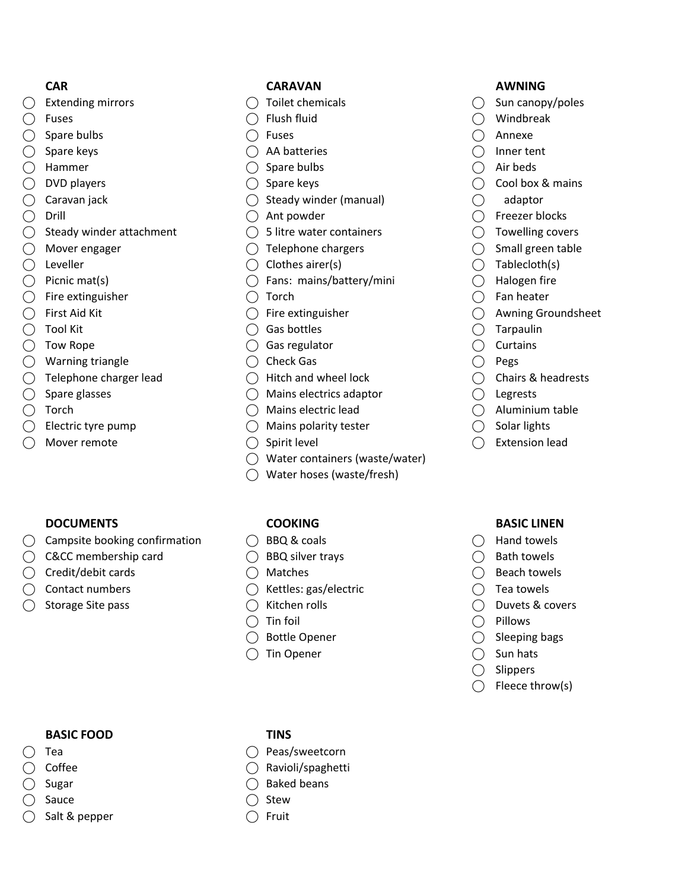- 
- 
- 
- 
- 
- 
- 
- -
	-
- 
- 
- $\bigcirc$  Fire extinguisher  $\bigcirc$  Torch  $\bigcirc$  Fan heater
	-
	-
	-
- ◯ Warning triangle ◯ Check Gas ◯ Pegs
	-
	-
	-
	-
	-

### **DOCUMENTS COOKING BASIC LINEN**

◯ Campsite booking confirmation  $\bigcirc$  BBQ & coals  $\bigcirc$  Hand towels

 $\bigcap$  Sauce  $\bigcap$  Stew  $\bigcirc$  Salt & pepper  $\bigcirc$  Fruit

- ◯ C&CC membership card  $\bigcirc$  BBQ silver trays  $\bigcirc$  Bath towels
- $\bigcirc$  Credit/debit cards  $\bigcirc$  Matches  $\bigcirc$  Beach towels
	-
	-

# CAR CARAVAN CARAVAN AWNING

- 
- 
- 
- $\bigcirc$  Spare keys  $\bigcirc$  AA batteries  $\bigcirc$  Inner tent
- $\bigcirc$  Hammer  $\bigcirc$  Spare bulbs  $\bigcirc$  Air beds
	-
- $\bigcirc$  Caravan jack  $\bigcirc$  Steady winder (manual)  $\bigcirc$  adaptor
	-
- $\bigcirc$  Steady winder attachment  $\bigcirc$  5 litre water containers  $\bigcirc$  Towelling covers
- $\bigcirc$  Mover engager  $\bigcirc$  Telephone chargers  $\bigcirc$  Small green table
- $\bigcirc$  Leveller  $\bigcirc$  Clothes airer(s)  $\bigcirc$  Tablecloth(s)
- $\bigcirc$  Picnic mat(s)  $\bigcirc$  Fans: mains/battery/mini  $\bigcirc$  Halogen fire
	-
	-
	-
- $\bigcirc$  Tow Rope  $\bigcirc$  Gas regulator  $\bigcirc$  Curtains
	-
- $\bigcirc$  Telephone charger lead  $\bigcirc$  Hitch and wheel lock  $\bigcirc$  Chairs & headrests
- $\bigcirc$  Spare glasses  $\bigcirc$  Mains electrics adaptor  $\bigcirc$  Legrests
- ⃝ Torch ⃝ Mains electric lead ⃝ Aluminium table
- $\bigcirc$  Electric tyre pump  $\bigcirc$  Mains polarity tester  $\bigcirc$  Solar lights
	-
	- ⃝ Water containers (waste/water)
	- ⃝ Water hoses (waste/fresh)

- 
- 
- 
- $\bigcirc$  Contact numbers  $\bigcirc$  Kettles: gas/electric  $\bigcirc$  Tea towels
	-
	-
	-
	- $\bigcirc$  Tin Opener  $\bigcirc$  Sun hats

- $\bigcirc$  Extending mirrors  $\bigcirc$  Toilet chemicals  $\bigcirc$  Sun canopy/poles
- $\bigcirc$  Fuses  $\bigcirc$  Flush fluid  $\bigcirc$  Windbreak
- $\bigcirc$  Spare bulbs  $\bigcirc$  Fuses  $\bigcirc$  Annexe
	-
	-
- $\bigcirc$  DVD players  $\bigcirc$  Spare keys  $\bigcirc$  Cool box & mains
	-
- $\bigcirc$  Drill  $\bigcirc$  Ant powder  $\bigcirc$  Freezer blocks
	-
	-
	-
	-
	-
- $\bigcirc$  First Aid Kit  $\bigcirc$  Fire extinguisher  $\bigcirc$  Awning Groundsheet
- $\bigcirc$  Tool Kit  $\bigcirc$  Gas bottles  $\bigcirc$  Gas bottles  $\bigcirc$  Tarpaulin
	-
	-
	-
	-
	-
	-
- $\bigcirc$  Mover remote  $\bigcirc$  Spirit level  $\bigcirc$  Extension lead

- 
- 
- 
- 
- ⃝ Storage Site pass ⃝ Kitchen rolls ⃝ Duvets & covers
	- $\bigcap$  Tin foil  $\bigcap$  Pillows
	- ◯ Bottle Opener ◯ Sleeping bags
		-
		- $\bigcap$  Slippers
		- $\bigcirc$  Fleece throw(s)

- BASIC FOOD TINS
- ⃝ Tea ⃝ Peas/sweetcorn
- $\bigcirc$  Coffee  $\bigcirc$  Ravioli/spaghetti ◯ Sugar ◯ Baked beans